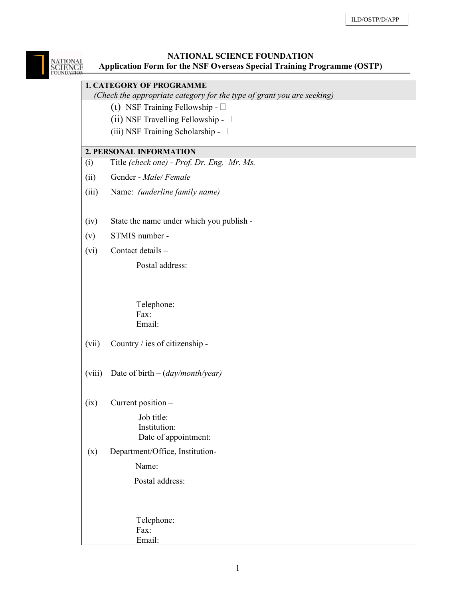# NATIONAL SCIENCE FOUNDATION NATIONAL<br>SCIENCE Application Form for the NSF Overseas Special Training Programme (OSTP) 1. CATEGORY OF PROGRAMME (Check the appropriate category for the type of grant you are seeking) (1) NSF Training Fellowship -  $\square$ (ii) NSF Travelling Fellowship -  $\square$ (iii) NSF Training Scholarship - 2. PERSONAL INFORMATION (i) Title (check one) - Prof. Dr. Eng. Mr. Ms. (ii) Gender - Male/ Female (iii) Name: (underline family name) (iv) State the name under which you publish - (v) STMIS number - (vi) Contact details – Postal address: Telephone: Fax: Email: (vii) Country / ies of citizenship - (viii) Date of birth  $-(day/month/year)$ (ix) Current position – Job title: Institution: Date of appointment: (x) Department/Office, Institution- Name: Postal address: Telephone:

 Fax: Email: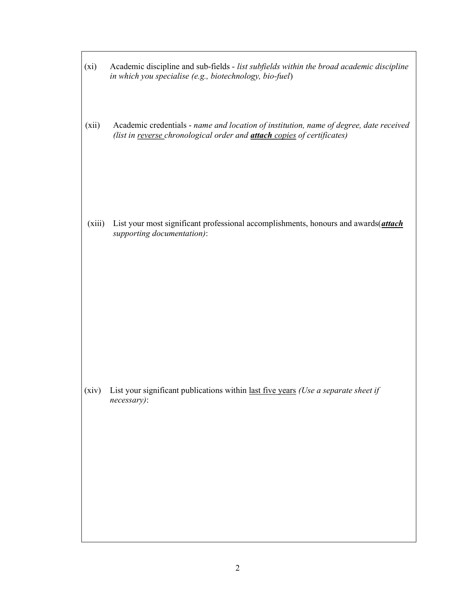- (xi) Academic discipline and sub-fields list subfields within the broad academic discipline in which you specialise (e.g., biotechnology, bio-fuel)
- (xii) Academic credentials name and location of institution, name of degree, date received (list in reverse chronological order and **attach** copies of certificates)

(xiii) List your most significant professional accomplishments, honours and awards $($ attach supporting documentation):

(xiv) List your significant publications within last five years (Use a separate sheet if necessary):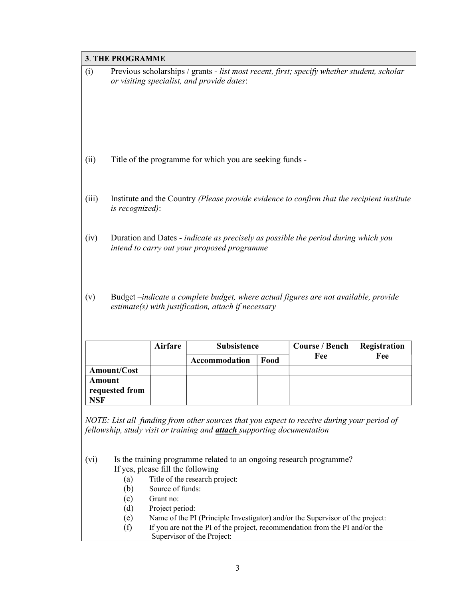# $\overline{\phantom{a}}$

| 3. THE PROGRAMME                                                                                    |                                                                                                                                              |                |                                                          |      |                       |              |  |
|-----------------------------------------------------------------------------------------------------|----------------------------------------------------------------------------------------------------------------------------------------------|----------------|----------------------------------------------------------|------|-----------------------|--------------|--|
| (i)                                                                                                 | Previous scholarships / grants - list most recent, first; specify whether student, scholar<br>or visiting specialist, and provide dates:     |                |                                                          |      |                       |              |  |
|                                                                                                     |                                                                                                                                              |                |                                                          |      |                       |              |  |
|                                                                                                     |                                                                                                                                              |                |                                                          |      |                       |              |  |
|                                                                                                     |                                                                                                                                              |                |                                                          |      |                       |              |  |
|                                                                                                     |                                                                                                                                              |                |                                                          |      |                       |              |  |
|                                                                                                     |                                                                                                                                              |                |                                                          |      |                       |              |  |
|                                                                                                     |                                                                                                                                              |                |                                                          |      |                       |              |  |
| (ii)                                                                                                |                                                                                                                                              |                | Title of the programme for which you are seeking funds - |      |                       |              |  |
|                                                                                                     |                                                                                                                                              |                |                                                          |      |                       |              |  |
|                                                                                                     |                                                                                                                                              |                |                                                          |      |                       |              |  |
| (iii)<br>Institute and the Country (Please provide evidence to confirm that the recipient institute |                                                                                                                                              |                |                                                          |      |                       |              |  |
|                                                                                                     | is recognized):                                                                                                                              |                |                                                          |      |                       |              |  |
|                                                                                                     |                                                                                                                                              |                |                                                          |      |                       |              |  |
| (iv)<br>Duration and Dates - indicate as precisely as possible the period during which you          |                                                                                                                                              |                |                                                          |      |                       |              |  |
| intend to carry out your proposed programme                                                         |                                                                                                                                              |                |                                                          |      |                       |              |  |
|                                                                                                     |                                                                                                                                              |                |                                                          |      |                       |              |  |
|                                                                                                     |                                                                                                                                              |                |                                                          |      |                       |              |  |
|                                                                                                     |                                                                                                                                              |                |                                                          |      |                       |              |  |
| (v)                                                                                                 | Budget -indicate a complete budget, where actual figures are not available, provide<br>$estimate(s)$ with justification, attach if necessary |                |                                                          |      |                       |              |  |
|                                                                                                     |                                                                                                                                              |                |                                                          |      |                       |              |  |
|                                                                                                     |                                                                                                                                              |                |                                                          |      |                       |              |  |
|                                                                                                     |                                                                                                                                              |                |                                                          |      |                       |              |  |
|                                                                                                     |                                                                                                                                              | <b>Airfare</b> | <b>Subsistence</b>                                       |      | <b>Course / Bench</b> | Registration |  |
|                                                                                                     |                                                                                                                                              |                | Accommodation                                            | Food | Fee                   | Fee          |  |
|                                                                                                     | Amount/Cost                                                                                                                                  |                |                                                          |      |                       |              |  |

requested from **NSF** NOTE: List all funding from other sources that you expect to receive during your period of

fellowship, study visit or training and *attach* supporting documentation

(vi) Is the training programme related to an ongoing research programme? If yes, please fill the following

- (a) Title of the research project:
- (b) Source of funds:
- (c) Grant no:

Amount

- (d) Project period:
- (e) Name of the PI (Principle Investigator) and/or the Supervisor of the project:
- (f) If you are not the PI of the project, recommendation from the PI and/or the Supervisor of the Project: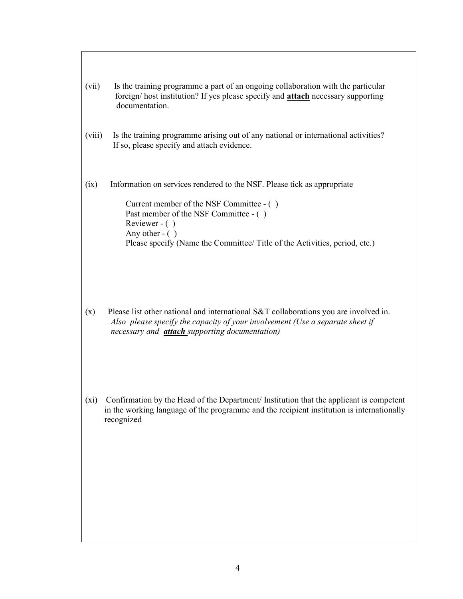| (vii)  | Is the training programme a part of an ongoing collaboration with the particular<br>foreign/ host institution? If yes please specify and <b>attach</b> necessary supporting<br>documentation.                                                                                      |  |  |  |  |
|--------|------------------------------------------------------------------------------------------------------------------------------------------------------------------------------------------------------------------------------------------------------------------------------------|--|--|--|--|
| (viii) | Is the training programme arising out of any national or international activities?<br>If so, please specify and attach evidence.                                                                                                                                                   |  |  |  |  |
| (ix)   | Information on services rendered to the NSF. Please tick as appropriate<br>Current member of the NSF Committee - ()<br>Past member of the NSF Committee - ()<br>Reviewer - $( )$<br>Any other $-$ ( )<br>Please specify (Name the Committee/Title of the Activities, period, etc.) |  |  |  |  |

- (x) Please list other national and international S&T collaborations you are involved in. Also please specify the capacity of your involvement (Use a separate sheet if necessary and **attach** supporting documentation)
- (xi) Confirmation by the Head of the Department/ Institution that the applicant is competent in the working language of the programme and the recipient institution is internationally recognized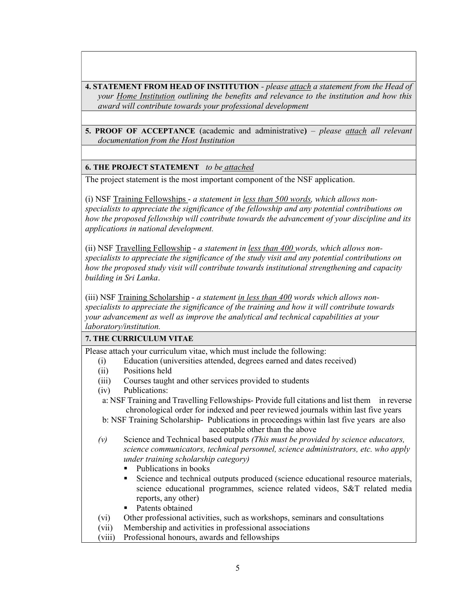4. STATEMENT FROM HEAD OF INSTITUTION - please attach a statement from the Head of your Home Institution outlining the benefits and relevance to the institution and how this award will contribute towards your professional development

5. PROOF OF ACCEPTANCE (academic and administrative) – please attach all relevant documentation from the Host Institution

#### **6. THE PROJECT STATEMENT** to be attached

The project statement is the most important component of the NSF application.

(i) NSF Training Fellowships - a statement in less than 500 words, which allows nonspecialists to appreciate the significance of the fellowship and any potential contributions on how the proposed fellowship will contribute towards the advancement of your discipline and its applications in national development.

(ii) NSF Travelling Fellowship - a statement in less than 400 words, which allows nonspecialists to appreciate the significance of the study visit and any potential contributions on how the proposed study visit will contribute towards institutional strengthening and capacity building in Sri Lanka.

(iii) NSF Training Scholarship - a statement in less than 400 words which allows nonspecialists to appreciate the significance of the training and how it will contribute towards your advancement as well as improve the analytical and technical capabilities at your laboratory/institution.

### 7. THE CURRICULUM VITAE

Please attach your curriculum vitae, which must include the following:

- (i) Education (universities attended, degrees earned and dates received)
- (ii) Positions held
- (iii) Courses taught and other services provided to students
- (iv) Publications:
- a: NSF Training and Travelling Fellowships- Provide full citations and list them in reverse chronological order for indexed and peer reviewed journals within last five years

 b: NSF Training Scholarship- Publications in proceedings within last five years are also acceptable other than the above

- (v) Science and Technical based outputs (This must be provided by science educators, science communicators, technical personnel, science administrators, etc. who apply under training scholarship category)
	- Publications in books
	- Science and technical outputs produced (science educational resource materials, science educational programmes, science related videos, S&T related media reports, any other)
	- Patents obtained
- (vi) Other professional activities, such as workshops, seminars and consultations
- (vii) Membership and activities in professional associations
- (viii) Professional honours, awards and fellowships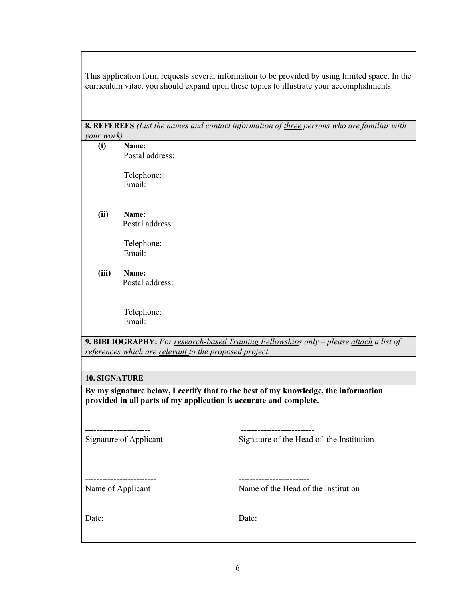This application form requests several information to be provided by using limited space. In the curriculum vitae, you should expand upon these topics to illustrate your accomplishments.

8. REFEREES (List the names and contact information of three persons who are familiar with  $\omega$ <sub>work</sub>)

| your work)           |                                                                   |                                                                                         |  |  |  |  |
|----------------------|-------------------------------------------------------------------|-----------------------------------------------------------------------------------------|--|--|--|--|
| (i)                  | Name:                                                             |                                                                                         |  |  |  |  |
|                      | Postal address:                                                   |                                                                                         |  |  |  |  |
|                      |                                                                   |                                                                                         |  |  |  |  |
|                      |                                                                   |                                                                                         |  |  |  |  |
|                      | Telephone:                                                        |                                                                                         |  |  |  |  |
|                      | Email:                                                            |                                                                                         |  |  |  |  |
|                      |                                                                   |                                                                                         |  |  |  |  |
|                      |                                                                   |                                                                                         |  |  |  |  |
| (ii)                 | Name:                                                             |                                                                                         |  |  |  |  |
|                      | Postal address:                                                   |                                                                                         |  |  |  |  |
|                      |                                                                   |                                                                                         |  |  |  |  |
|                      |                                                                   |                                                                                         |  |  |  |  |
|                      | Telephone:                                                        |                                                                                         |  |  |  |  |
|                      | Email:                                                            |                                                                                         |  |  |  |  |
|                      |                                                                   |                                                                                         |  |  |  |  |
| (iii)                | Name:                                                             |                                                                                         |  |  |  |  |
|                      | Postal address:                                                   |                                                                                         |  |  |  |  |
|                      |                                                                   |                                                                                         |  |  |  |  |
|                      |                                                                   |                                                                                         |  |  |  |  |
|                      |                                                                   |                                                                                         |  |  |  |  |
|                      | Telephone:                                                        |                                                                                         |  |  |  |  |
|                      | Email:                                                            |                                                                                         |  |  |  |  |
|                      |                                                                   |                                                                                         |  |  |  |  |
|                      |                                                                   | 9. BIBLIOGRAPHY: For research-based Training Fellowships only - please attach a list of |  |  |  |  |
|                      | references which are relevant to the proposed project.            |                                                                                         |  |  |  |  |
|                      |                                                                   |                                                                                         |  |  |  |  |
|                      |                                                                   |                                                                                         |  |  |  |  |
| <b>10. SIGNATURE</b> |                                                                   |                                                                                         |  |  |  |  |
|                      |                                                                   |                                                                                         |  |  |  |  |
|                      |                                                                   | By my signature below, I certify that to the best of my knowledge, the information      |  |  |  |  |
|                      | provided in all parts of my application is accurate and complete. |                                                                                         |  |  |  |  |
|                      |                                                                   |                                                                                         |  |  |  |  |
|                      |                                                                   |                                                                                         |  |  |  |  |
|                      |                                                                   |                                                                                         |  |  |  |  |
|                      |                                                                   |                                                                                         |  |  |  |  |
|                      | Signature of Applicant                                            | Signature of the Head of the Institution                                                |  |  |  |  |
|                      |                                                                   |                                                                                         |  |  |  |  |
|                      |                                                                   |                                                                                         |  |  |  |  |
|                      |                                                                   |                                                                                         |  |  |  |  |
|                      |                                                                   |                                                                                         |  |  |  |  |
|                      |                                                                   |                                                                                         |  |  |  |  |
| Name of Applicant    |                                                                   | Name of the Head of the Institution                                                     |  |  |  |  |
|                      |                                                                   |                                                                                         |  |  |  |  |
|                      |                                                                   |                                                                                         |  |  |  |  |
| Date:                |                                                                   | Date:                                                                                   |  |  |  |  |
|                      |                                                                   |                                                                                         |  |  |  |  |
|                      |                                                                   |                                                                                         |  |  |  |  |